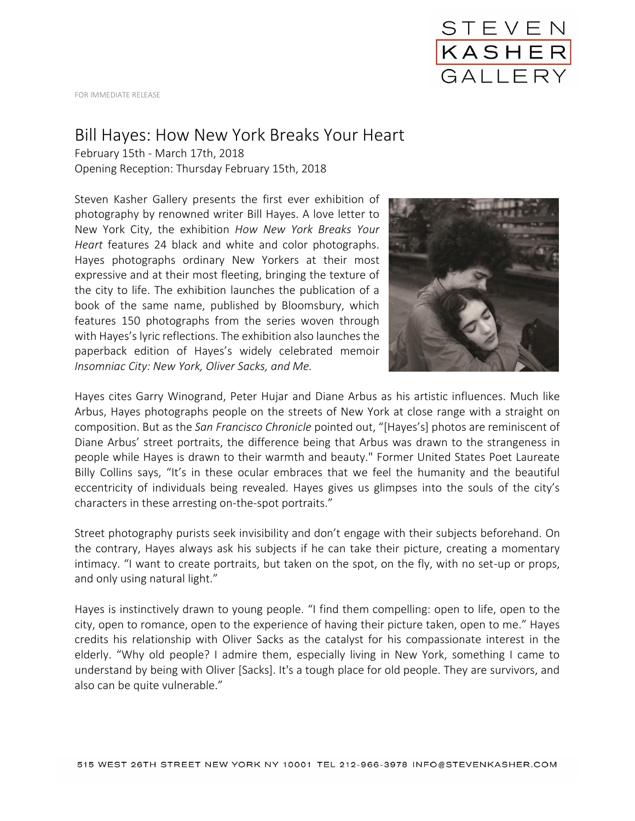

FOR IMMEDIATE RELEASE

## Bill Hayes: How New York Breaks Your Heart

February 15th - March 17th, 2018 Opening Reception: Thursday February 15th, 2018

Steven Kasher Gallery presents the first ever exhibition of photography by renowned writer Bill Hayes. A love letter to New York City, the exhibition *How New York Breaks Your Heart* features 24 black and white and color photographs. Hayes photographs ordinary New Yorkers at their most expressive and at their most fleeting, bringing the texture of the city to life. The exhibition launches the publication of a book of the same name, published by Bloomsbury, which features 150 photographs from the series woven through with Hayes's lyric reflections. The exhibition also launches the paperback edition of Hayes's widely celebrated memoir *Insomniac City: New York, Oliver Sacks, and Me.* 



Hayes cites Garry Winogrand, Peter Hujar and Diane Arbus as his artistic influences. Much like Arbus, Hayes photographs people on the streets of New York at close range with a straight on composition. But as the *San Francisco Chronicle* pointed out, "[Hayes's] photos are reminiscent of Diane Arbus' street portraits, the difference being that Arbus was drawn to the strangeness in people while Hayes is drawn to their warmth and beauty." Former United States Poet Laureate Billy Collins says, "It's in these ocular embraces that we feel the humanity and the beautiful eccentricity of individuals being revealed. Hayes gives us glimpses into the souls of the city's characters in these arresting on-the-spot portraits."

Street photography purists seek invisibility and don't engage with their subjects beforehand. On the contrary, Hayes always ask his subjects if he can take their picture, creating a momentary intimacy. "I want to create portraits, but taken on the spot, on the fly, with no set-up or props, and only using natural light."

Hayes is instinctively drawn to young people. "I find them compelling: open to life, open to the city, open to romance, open to the experience of having their picture taken, open to me." Hayes credits his relationship with Oliver Sacks as the catalyst for his compassionate interest in the elderly. "Why old people? I admire them, especially living in New York, something I came to understand by being with Oliver [Sacks]. It's a tough place for old people. They are survivors, and also can be quite vulnerable."